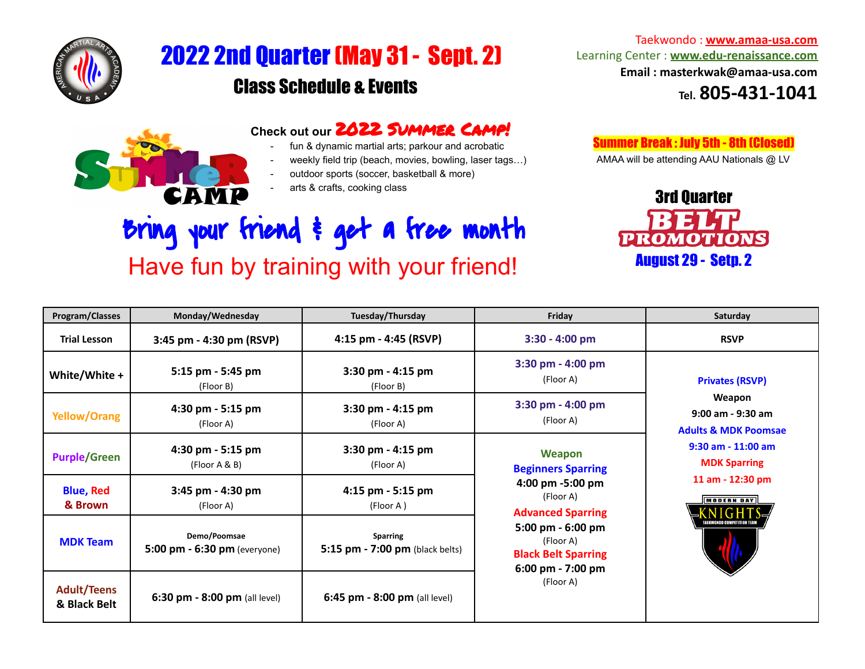

## 2022 2nd Quarter(May 31- Sept. 2) Class Schedule & Events

## **Check out our** 2022 Summer Camp!

- fun & dynamic martial arts; parkour and acrobatic
- weekly field trip (beach, movies, bowling, laser tags...)
- outdoor sports (soccer, basketball & more)
- arts & crafts, cooking class

## Bring your friend & get a free month Have fun by training with your friend!

Taekwondo : **[www.amaa-usa.com](http://www.amaa-usa.com)** Learning Center : **[www.edu-renaissance.com](https://www.edu-renaissance.com/) Email : masterkwak@amaa-usa.com Tel. 805-431-1041**

Summer Break : July 5th - 8th (Closed)

AMAA will be attending AAU Nationals @ LV



| Program/Classes                    | Monday/Wednesday                               | Tuesday/Thursday                                   | Friday                                                                                                           | Saturday                                                                                                                                                                                                         |
|------------------------------------|------------------------------------------------|----------------------------------------------------|------------------------------------------------------------------------------------------------------------------|------------------------------------------------------------------------------------------------------------------------------------------------------------------------------------------------------------------|
| <b>Trial Lesson</b>                | 3:45 pm - 4:30 pm (RSVP)                       | 4:15 pm - 4:45 (RSVP)                              | $3:30 - 4:00$ pm                                                                                                 | <b>RSVP</b>                                                                                                                                                                                                      |
| White/White +                      | 5:15 pm - 5:45 pm<br>(Floor B)                 | 3:30 pm - 4:15 pm<br>(Floor B)                     | $3:30$ pm - 4:00 pm<br>(Floor A)                                                                                 | <b>Privates (RSVP)</b><br>Weapon<br>$9:00$ am - $9:30$ am<br><b>Adults &amp; MDK Poomsae</b><br>$9:30$ am - $11:00$ am<br><b>MDK Sparring</b><br>11 am - 12:30 pm<br><b>MODERN DAY</b><br>AEKWONDO COMPETITION T |
| <b>Yellow/Orang</b>                | 4:30 pm - 5:15 pm<br>(Floor A)                 | 3:30 pm - 4:15 pm<br>(Floor A)                     | $3:30$ pm - 4:00 pm<br>(Floor A)                                                                                 |                                                                                                                                                                                                                  |
| <b>Purple/Green</b>                | 4:30 pm - 5:15 pm<br>( Floor A & B)            | 3:30 pm - 4:15 pm<br>(Floor A)                     | <b>Weapon</b><br><b>Beginners Sparring</b>                                                                       |                                                                                                                                                                                                                  |
| <b>Blue, Red</b><br>& Brown        | 3:45 pm - 4:30 pm<br>(Floor A)                 | 4:15 pm - 5:15 pm<br>(Floor A )                    | 4:00 pm -5:00 pm<br>(Floor A)<br><b>Advanced Sparring</b>                                                        |                                                                                                                                                                                                                  |
| <b>MDK Team</b>                    | Demo/Poomsae<br>5:00 pm $-$ 6:30 pm (everyone) | <b>Sparring</b><br>5:15 pm - 7:00 pm (black belts) | 5:00 pm - 6:00 pm<br>(Floor A)<br><b>Black Belt Sparring</b><br>$6:00 \text{ pm} - 7:00 \text{ pm}$<br>(Floor A) |                                                                                                                                                                                                                  |
| <b>Adult/Teens</b><br>& Black Belt | 6:30 pm - 8:00 pm (all level)                  | 6:45 pm - $8:00$ pm (all level)                    |                                                                                                                  |                                                                                                                                                                                                                  |